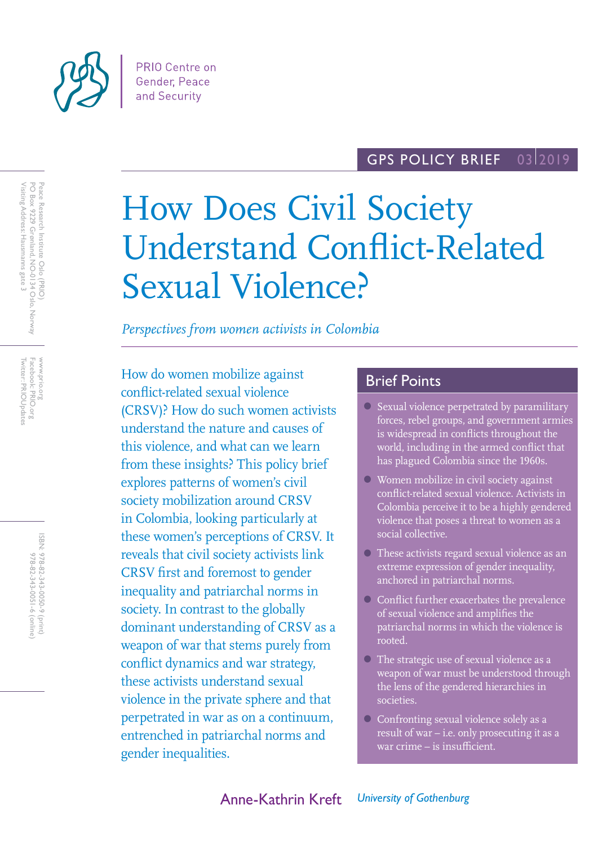

#### GPS POLICY BRIEF 03 2019

# How Does Civil Society Understand Conflict-Related Sexual Violence?

*Perspectives from women activists in Colombia*

How do women mobilize against conflict-related sexual violence (CRSV)? How do such women activists understand the nature and causes of this violence, and what can we learn from these insights? This policy brief explores patterns of women's civil society mobilization around CRSV in Colombia, looking particularly at these women's perceptions of CRSV. It reveals that civil society activists link CRSV first and foremost to gender inequality and patriarchal norms in society. In contrast to the globally dominant understanding of CRSV as a weapon of war that stems purely from conflict dynamics and war strategy, these activists understand sexual violence in the private sphere and that perpetrated in war as on a continuum, entrenched in patriarchal norms and gender inequalities.

## Brief Points

- Sexual violence perpetrated by paramilitary forces, rebel groups, and government armies is widespread in conflicts throughout the world, including in the armed conflict that has plagued Colombia since the 1960s.
- Women mobilize in civil society against conflict-related sexual violence. Activists in Colombia perceive it to be a highly gendered violence that poses a threat to women as a social collective.
- These activists regard sexual violence as an extreme expression of gender inequality, anchored in patriarchal norms.
- Conflict further exacerbates the prevalence of sexual violence and amplifies the patriarchal norms in which the violence is rooted.
- The strategic use of sexual violence as a weapon of war must be understood through the lens of the gendered hierarchies in societies.
- Confronting sexual violence solely as a result of war – i.e. only prosecuting it as a war crime – is insufficient.

www.prio.org<br>Facebook: PRIO.org<br>Twitter: PRIOUpdates Twitter: PRIOUpdates Facebook: PRIO.org www.prio.org

> ISBN: 978-82-343-0050-9 (print) 978-82-343-0051-6 (online) 978-82-343-0051-6 (online) 978-82-343-0050-9 (print)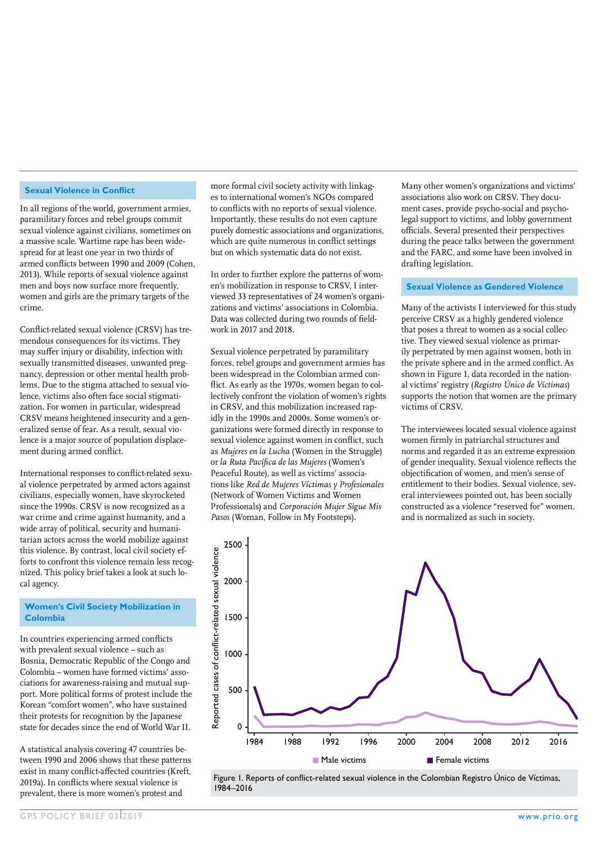#### **Sexual Violence in Conflict**

In all regions of the world, government armies, paramilitary forces and rebel groups commit sexual violence against civilians, sometimes on a massive scale. Wartime rape has been widespread for at least one year in two thirds of armed conflicts between 1990 and 2009 (Cohen, 2013). While reports of sexual violence against men and boys now surface more frequently, women and girls are the primary targets of the crime.

Conflict-related sexual violence (CRSV) has tremendous consequences for its victims. They may suffer injury or disability, infection with sexually transmitted diseases, unwanted pregnancy, depression or other mental health problems. Due to the stigma attached to sexual violence, victims also often face social stigmatization. For women in particular, widespread CRSV means heightened insecurity and a generalized sense of fear. As a result, sexual violence is a major source of population displacement during armed conflict.

International responses to conflict-related sexual violence perpetrated by armed actors against civilians, especially women, have skyrocketed since the 1990s. CRSV is now recognized as a war crime and crime against humanity, and a wide array of political, security and humanitarian actors across the world mobilize against this violence. By contrast, local civil society efforts to confront this violence remain less recognized. This policy brief takes a look at such local agency.

#### **Women's Civil Society Mobilization in Colombia**

In countries experiencing armed conflicts with prevalent sexual violence – such as Bosnia, Democratic Republic of the Congo and Colombia – women have formed victims' associations for awareness-raising and mutual support. More political forms of protest include the Korean "comfort women", who have sustained their protests for recognition by the Japanese state for decades since the end of World War II.

A statistical analysis covering 47 countries between 1990 and 2006 shows that these patterns exist in many conflict-affected countries (Kreft, 2019a). In conflicts where sexual violence is prevalent, there is more women's protest and

more formal civil society activity with linkages to international women's NGOs compared to conflicts with no reports of sexual violence. Importantly, these results do not even capture purely domestic associations and organizations, which are quite numerous in conflict settings but on which systematic data do not exist.

In order to further explore the patterns of women's mobilization in response to CRSV, I interviewed 33 representatives of 24 women's organizations and victims' associations in Colombia. Data was collected during two rounds of fieldwork in 2017 and 2018.

Sexual violence perpetrated by paramilitary forces, rebel groups and government armies has been widespread in the Colombian armed conflict. As early as the 1970s, women began to collectively confront the violation of women's rights in CRSV, and this mobilization increased rapidly in the 1990s and 2000s. Some women's organizations were formed directly in response to sexual violence against women in conflict, such as *Mujeres en la Lucha* (Women in the Struggle) or *la Ruta Pacífica de las Mujeres* (Women's Peaceful Route), as well as victims' associations like *Red de Mujeres Víctimas y Profesionales* (Network of Women Victims and Women Professionals) and *Corporación Mujer Sigue Mis Pasos* (Woman, Follow in My Footsteps).

Many other women's organizations and victims' associations also work on CRSV. They document cases, provide psycho-social and psycholegal support to victims, and lobby government officials. Several presented their perspectives during the peace talks between the government and the FARC, and some have been involved in drafting legislation.

### **Sexual Violence as Gendered Violence**

Many of the activists I interviewed for this study perceive CRSV as a highly gendered violence that poses a threat to women as a social collective. They viewed sexual violence as primarily perpetrated by men against women, both in the private sphere and in the armed conflict. As shown in Figure 1, data recorded in the national victims' registry (*Registro Único de Víctimas*) supports the notion that women are the primary victims of CRSV.

The interviewees located sexual violence against women firmly in patriarchal structures and norms and regarded it as an extreme expression of gender inequality. Sexual violence reflects the objectification of women, and men's sense of entitlement to their bodies. Sexual violence, several interviewees pointed out, has been socially constructed as a violence "reserved for" women, and is normalized as such in society.



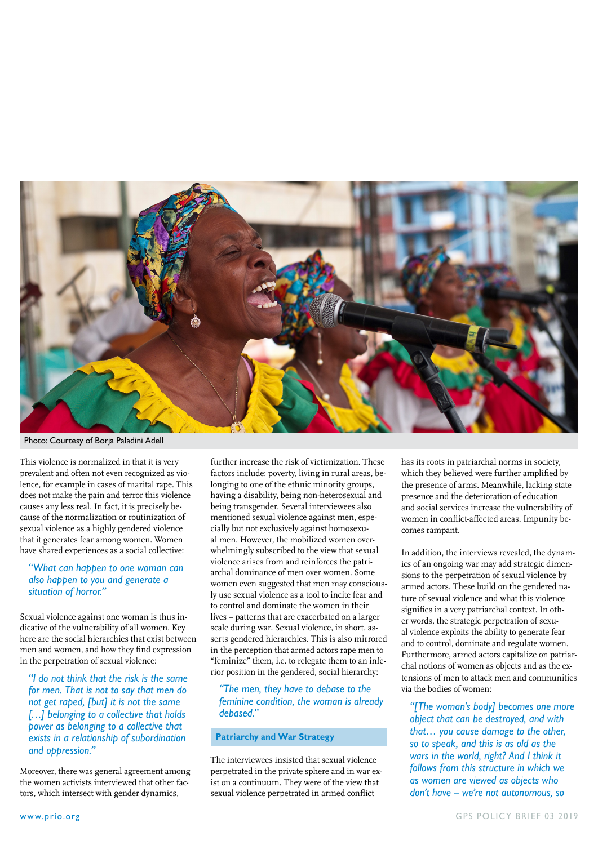

Photo: Courtesy of Borja Paladini Adell

This violence is normalized in that it is very prevalent and often not even recognized as violence, for example in cases of marital rape. This does not make the pain and terror this violence causes any less real. In fact, it is precisely because of the normalization or routinization of sexual violence as a highly gendered violence that it generates fear among women. Women have shared experiences as a social collective:

#### *"What can happen to one woman can also happen to you and generate a situation of horror."*

Sexual violence against one woman is thus indicative of the vulnerability of all women. Key here are the social hierarchies that exist between men and women, and how they find expression in the perpetration of sexual violence:

*"I do not think that the risk is the same for men. That is not to say that men do not get raped, [but] it is not the same […] belonging to a collective that holds power as belonging to a collective that exists in a relationship of subordination and oppression."*

Moreover, there was general agreement among the women activists interviewed that other factors, which intersect with gender dynamics,

further increase the risk of victimization. These factors include: poverty, living in rural areas, belonging to one of the ethnic minority groups, having a disability, being non-heterosexual and being transgender. Several interviewees also mentioned sexual violence against men, especially but not exclusively against homosexual men. However, the mobilized women overwhelmingly subscribed to the view that sexual violence arises from and reinforces the patriarchal dominance of men over women. Some women even suggested that men may consciously use sexual violence as a tool to incite fear and to control and dominate the women in their lives – patterns that are exacerbated on a larger scale during war. Sexual violence, in short, asserts gendered hierarchies. This is also mirrored in the perception that armed actors rape men to "feminize" them, i.e. to relegate them to an inferior position in the gendered, social hierarchy:

#### *"The men, they have to debase to the feminine condition, the woman is already debased."*

#### **Patriarchy and War Strategy**

The interviewees insisted that sexual violence perpetrated in the private sphere and in war exist on a continuum. They were of the view that sexual violence perpetrated in armed conflict

has its roots in patriarchal norms in society, which they believed were further amplified by the presence of arms. Meanwhile, lacking state presence and the deterioration of education and social services increase the vulnerability of women in conflict-affected areas. Impunity becomes rampant.

In addition, the interviews revealed, the dynamics of an ongoing war may add strategic dimensions to the perpetration of sexual violence by armed actors. These build on the gendered nature of sexual violence and what this violence signifies in a very patriarchal context. In other words, the strategic perpetration of sexual violence exploits the ability to generate fear and to control, dominate and regulate women. Furthermore, armed actors capitalize on patriarchal notions of women as objects and as the extensions of men to attack men and communities via the bodies of women:

*"[The woman's body] becomes one more object that can be destroyed, and with that… you cause damage to the other, so to speak, and this is as old as the wars in the world, right? And I think it follows from this structure in which we as women are viewed as objects who don't have – we're not autonomous, so*